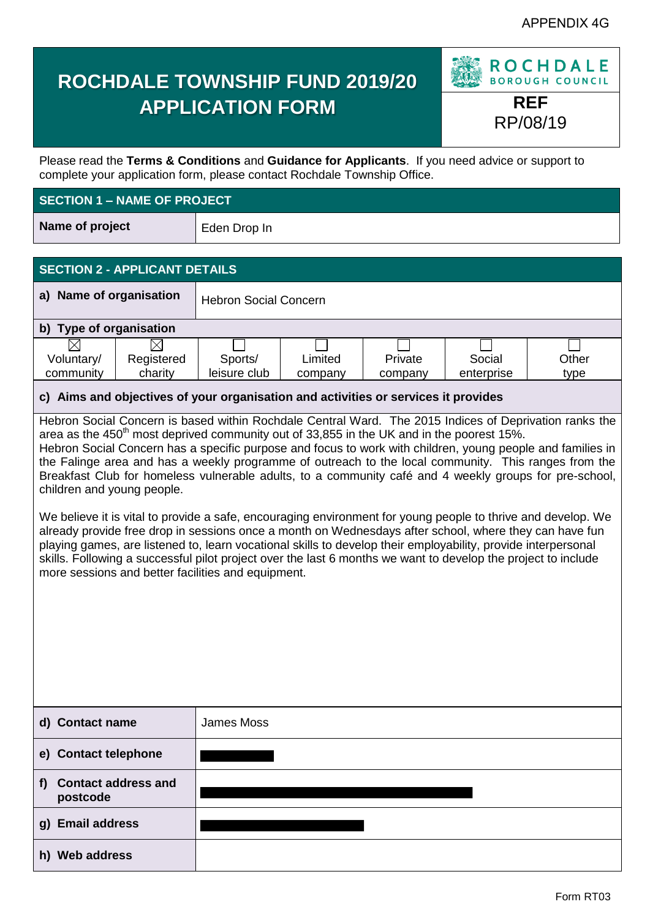# **ROCHDALE TOWNSHIP FUND 2019/20 APPLICATION FORM REF**



Please read the **Terms & Conditions** and **Guidance for Applicants**. If you need advice or support to complete your application form, please contact Rochdale Township Office.

## **SECTION 1 – NAME OF PROJECT**

**Name of project** Eden Drop In

# **SECTION 2 - APPLICANT DETAILS**

| a) Name of organisation           |         | <b>Hebron Social Concern</b> |         |         |            |       |
|-----------------------------------|---------|------------------------------|---------|---------|------------|-------|
| <b>Type of organisation</b><br>b) |         |                              |         |         |            |       |
|                                   |         |                              |         |         |            |       |
| Registered<br>Voluntary/          |         | Sports/                      | Limited | Private | Social     | Other |
| community                         | charity | leisure club                 | company | company | enterprise | type  |

# **c) Aims and objectives of your organisation and activities or services it provides**

Hebron Social Concern is based within Rochdale Central Ward. The 2015 Indices of Deprivation ranks the area as the 450<sup>th</sup> most deprived community out of 33,855 in the UK and in the poorest 15%. Hebron Social Concern has a specific purpose and focus to work with children, young people and families in the Falinge area and has a weekly programme of outreach to the local community. This ranges from the Breakfast Club for homeless vulnerable adults, to a community café and 4 weekly groups for pre-school, children and young people.

We believe it is vital to provide a safe, encouraging environment for young people to thrive and develop. We already provide free drop in sessions once a month on Wednesdays after school, where they can have fun playing games, are listened to, learn vocational skills to develop their employability, provide interpersonal skills. Following a successful pilot project over the last 6 months we want to develop the project to include more sessions and better facilities and equipment.

| d) Contact name                             | James Moss |
|---------------------------------------------|------------|
| e) Contact telephone                        |            |
| <b>Contact address and</b><br>f<br>postcode |            |
| g) Email address                            |            |
| <b>Web address</b><br>h)                    |            |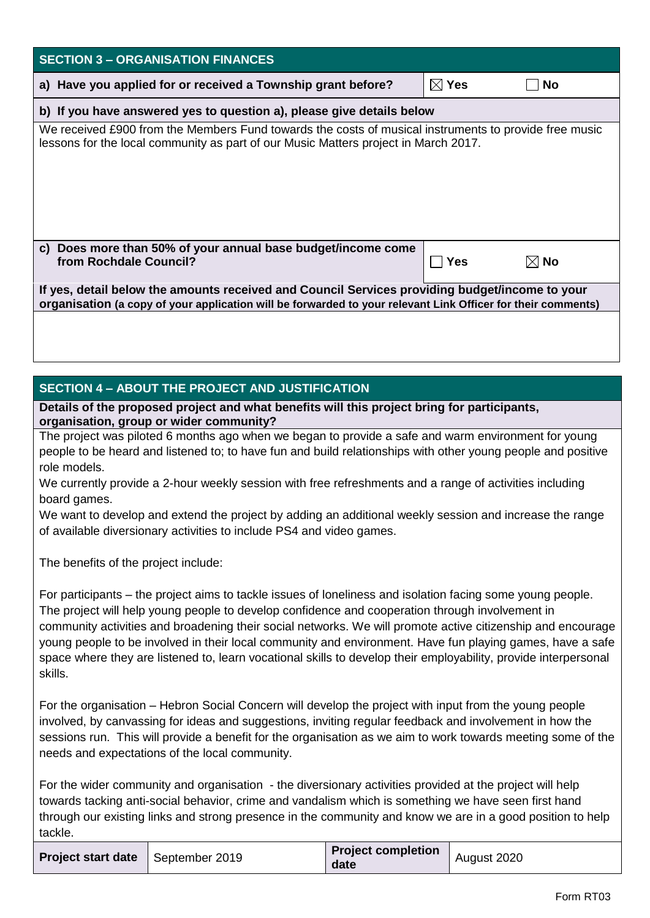| <b>SECTION 3 - ORGANISATION FINANCES</b>                                                                                                                                                                                                                                                                                                                                                                                                                                                                                                                                                     |                             |                |
|----------------------------------------------------------------------------------------------------------------------------------------------------------------------------------------------------------------------------------------------------------------------------------------------------------------------------------------------------------------------------------------------------------------------------------------------------------------------------------------------------------------------------------------------------------------------------------------------|-----------------------------|----------------|
| a) Have you applied for or received a Township grant before?                                                                                                                                                                                                                                                                                                                                                                                                                                                                                                                                 | $\boxtimes$ Yes             | <b>No</b>      |
| b) If you have answered yes to question a), please give details below                                                                                                                                                                                                                                                                                                                                                                                                                                                                                                                        |                             |                |
| We received £900 from the Members Fund towards the costs of musical instruments to provide free music<br>lessons for the local community as part of our Music Matters project in March 2017.                                                                                                                                                                                                                                                                                                                                                                                                 |                             |                |
| c) Does more than 50% of your annual base budget/income come<br>from Rochdale Council?                                                                                                                                                                                                                                                                                                                                                                                                                                                                                                       | <b>Yes</b><br>$\mathcal{L}$ | $\boxtimes$ No |
| If yes, detail below the amounts received and Council Services providing budget/income to your<br>organisation (a copy of your application will be forwarded to your relevant Link Officer for their comments)                                                                                                                                                                                                                                                                                                                                                                               |                             |                |
|                                                                                                                                                                                                                                                                                                                                                                                                                                                                                                                                                                                              |                             |                |
| <b>SECTION 4 - ABOUT THE PROJECT AND JUSTIFICATION</b>                                                                                                                                                                                                                                                                                                                                                                                                                                                                                                                                       |                             |                |
| Details of the proposed project and what benefits will this project bring for participants,                                                                                                                                                                                                                                                                                                                                                                                                                                                                                                  |                             |                |
| organisation, group or wider community?<br>The project was piloted 6 months ago when we began to provide a safe and warm environment for young<br>people to be heard and listened to; to have fun and build relationships with other young people and positive<br>role models.<br>We currently provide a 2-hour weekly session with free refreshments and a range of activities including<br>board games.<br>We want to develop and extend the project by adding an additional weekly session and increase the range<br>of available diversionary activities to include PS4 and video games. |                             |                |
| The benefits of the project include:                                                                                                                                                                                                                                                                                                                                                                                                                                                                                                                                                         |                             |                |
| For participants – the project aims to tackle issues of loneliness and isolation facing some young people.<br>The project will help young people to develop confidence and cooperation through involvement in<br>community activities and broadening their social networks. We will promote active citizenship and encourage<br>young people to be involved in their local community and environment. Have fun playing games, have a safe<br>space where they are listened to, learn vocational skills to develop their employability, provide interpersonal<br>skills.                      |                             |                |
| For the organisation – Hebron Social Concern will develop the project with input from the young people<br>involved, by canvassing for ideas and suggestions, inviting regular feedback and involvement in how the<br>sessions run. This will provide a benefit for the organisation as we aim to work towards meeting some of the<br>needs and expectations of the local community.                                                                                                                                                                                                          |                             |                |
|                                                                                                                                                                                                                                                                                                                                                                                                                                                                                                                                                                                              |                             |                |

For the wider community and organisation - the diversionary activities provided at the project will help towards tacking anti-social behavior, crime and vandalism which is something we have seen first hand through our existing links and strong presence in the community and know we are in a good position to help tackle.

| <b>Project start date</b>   September 2019 |  | <b>Project completion</b><br>date | August 2020 |
|--------------------------------------------|--|-----------------------------------|-------------|
|--------------------------------------------|--|-----------------------------------|-------------|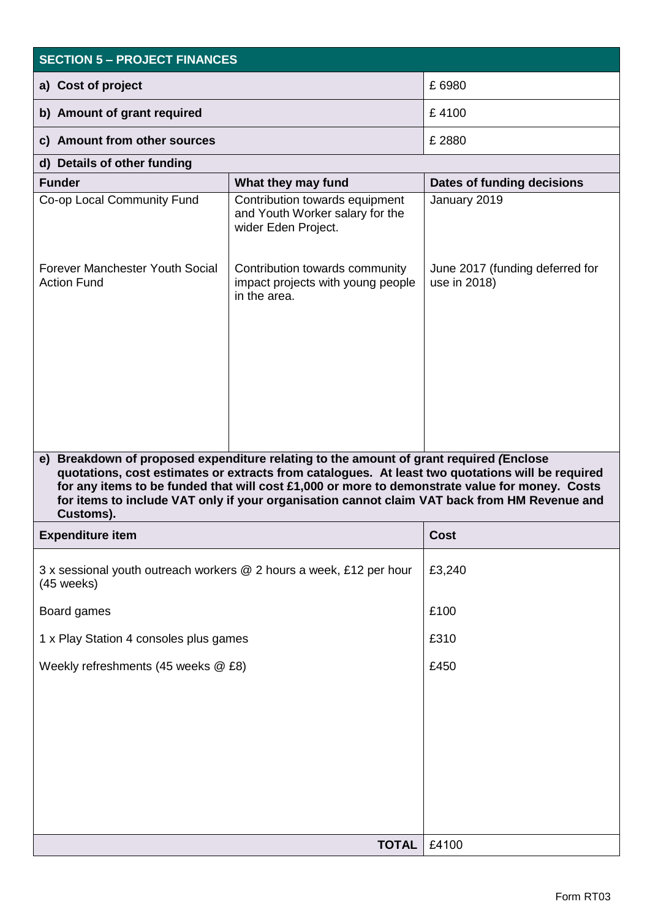| <b>SECTION 5 - PROJECT FINANCES</b>                                                                                                                                                                                                                                                                                                                                                                                                                 |                                                                                          |                                                 |  |  |
|-----------------------------------------------------------------------------------------------------------------------------------------------------------------------------------------------------------------------------------------------------------------------------------------------------------------------------------------------------------------------------------------------------------------------------------------------------|------------------------------------------------------------------------------------------|-------------------------------------------------|--|--|
| a) Cost of project                                                                                                                                                                                                                                                                                                                                                                                                                                  | £ 6980                                                                                   |                                                 |  |  |
| b) Amount of grant required                                                                                                                                                                                                                                                                                                                                                                                                                         | £4100                                                                                    |                                                 |  |  |
| c) Amount from other sources                                                                                                                                                                                                                                                                                                                                                                                                                        | £ 2880                                                                                   |                                                 |  |  |
| d) Details of other funding                                                                                                                                                                                                                                                                                                                                                                                                                         |                                                                                          |                                                 |  |  |
| <b>Funder</b>                                                                                                                                                                                                                                                                                                                                                                                                                                       | What they may fund                                                                       | Dates of funding decisions                      |  |  |
| Co-op Local Community Fund                                                                                                                                                                                                                                                                                                                                                                                                                          | Contribution towards equipment<br>and Youth Worker salary for the<br>wider Eden Project. | January 2019                                    |  |  |
| Forever Manchester Youth Social<br>Contribution towards community<br><b>Action Fund</b><br>impact projects with young people<br>in the area.                                                                                                                                                                                                                                                                                                        |                                                                                          | June 2017 (funding deferred for<br>use in 2018) |  |  |
| e) Breakdown of proposed expenditure relating to the amount of grant required (Enclose<br>quotations, cost estimates or extracts from catalogues. At least two quotations will be required<br>for any items to be funded that will cost £1,000 or more to demonstrate value for money. Costs<br>for items to include VAT only if your organisation cannot claim VAT back from HM Revenue and<br>Customs).<br><b>Expenditure item</b><br><b>Cost</b> |                                                                                          |                                                 |  |  |
|                                                                                                                                                                                                                                                                                                                                                                                                                                                     |                                                                                          |                                                 |  |  |
| 3 x sessional youth outreach workers @ 2 hours a week, £12 per hour<br>(45 weeks)                                                                                                                                                                                                                                                                                                                                                                   |                                                                                          | £3,240                                          |  |  |
| Board games                                                                                                                                                                                                                                                                                                                                                                                                                                         |                                                                                          | £100                                            |  |  |
| 1 x Play Station 4 consoles plus games                                                                                                                                                                                                                                                                                                                                                                                                              | £310                                                                                     |                                                 |  |  |
| Weekly refreshments (45 weeks @ £8)                                                                                                                                                                                                                                                                                                                                                                                                                 | £450                                                                                     |                                                 |  |  |
|                                                                                                                                                                                                                                                                                                                                                                                                                                                     |                                                                                          |                                                 |  |  |
|                                                                                                                                                                                                                                                                                                                                                                                                                                                     | <b>TOTAL</b>                                                                             | £4100                                           |  |  |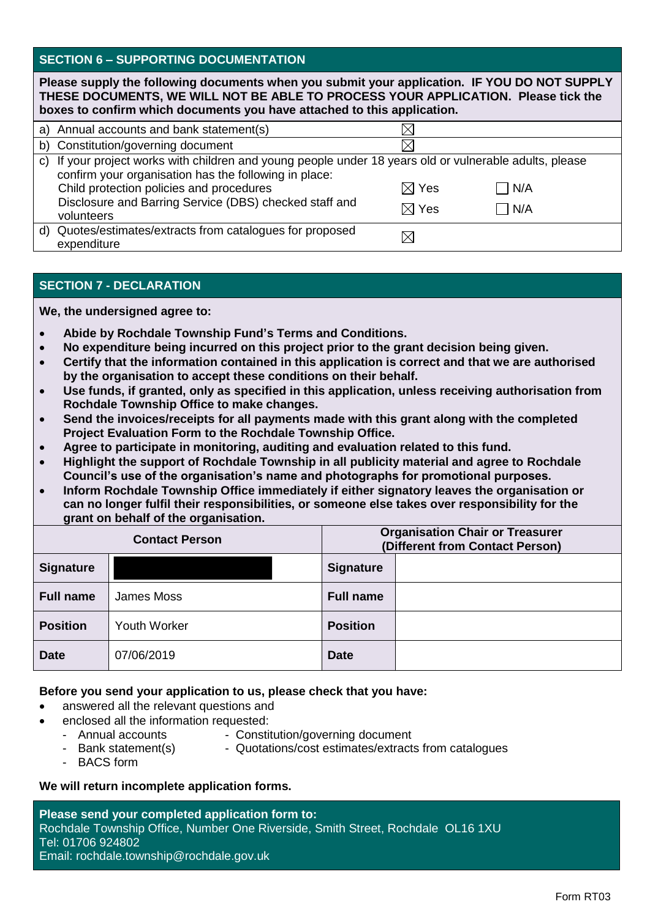#### **SECTION 6 – SUPPORTING DOCUMENTATION**

| Please supply the following documents when you submit your application. IF YOU DO NOT SUPPLY<br>THESE DOCUMENTS, WE WILL NOT BE ABLE TO PROCESS YOUR APPLICATION. Please tick the<br>boxes to confirm which documents you have attached to this application. |                                                                                                                                                                                                              |                 |     |
|--------------------------------------------------------------------------------------------------------------------------------------------------------------------------------------------------------------------------------------------------------------|--------------------------------------------------------------------------------------------------------------------------------------------------------------------------------------------------------------|-----------------|-----|
|                                                                                                                                                                                                                                                              | a) Annual accounts and bank statement(s)                                                                                                                                                                     |                 |     |
|                                                                                                                                                                                                                                                              | b) Constitution/governing document                                                                                                                                                                           |                 |     |
|                                                                                                                                                                                                                                                              | c) If your project works with children and young people under 18 years old or vulnerable adults, please<br>confirm your organisation has the following in place:<br>Child protection policies and procedures | $\boxtimes$ Yes | N/A |
|                                                                                                                                                                                                                                                              | Disclosure and Barring Service (DBS) checked staff and<br>volunteers                                                                                                                                         | $\boxtimes$ Yes | N/A |
|                                                                                                                                                                                                                                                              | d) Quotes/estimates/extracts from catalogues for proposed<br>expenditure                                                                                                                                     |                 |     |

### **SECTION 7 - DECLARATION**

**We, the undersigned agree to:**

- **Abide by Rochdale Township Fund's Terms and Conditions.**
- **No expenditure being incurred on this project prior to the grant decision being given.**
- **Certify that the information contained in this application is correct and that we are authorised by the organisation to accept these conditions on their behalf.**
- **Use funds, if granted, only as specified in this application, unless receiving authorisation from Rochdale Township Office to make changes.**
- **Send the invoices/receipts for all payments made with this grant along with the completed Project Evaluation Form to the Rochdale Township Office.**
- **Agree to participate in monitoring, auditing and evaluation related to this fund.**
- **Highlight the support of Rochdale Township in all publicity material and agree to Rochdale Council's use of the organisation's name and photographs for promotional purposes.**
- **Inform Rochdale Township Office immediately if either signatory leaves the organisation or can no longer fulfil their responsibilities, or someone else takes over responsibility for the grant on behalf of the organisation.**

| <b>Contact Person</b> |                     | <b>Organisation Chair or Treasurer</b><br>(Different from Contact Person) |  |  |
|-----------------------|---------------------|---------------------------------------------------------------------------|--|--|
| <b>Signature</b>      |                     | <b>Signature</b>                                                          |  |  |
| <b>Full name</b>      | James Moss          | <b>Full name</b>                                                          |  |  |
| <b>Position</b>       | <b>Youth Worker</b> | <b>Position</b>                                                           |  |  |
| <b>Date</b>           | 07/06/2019          | <b>Date</b>                                                               |  |  |

#### **Before you send your application to us, please check that you have:**

- answered all the relevant questions and
	- enclosed all the information requested:
		- Annual accounts Constitution/governing document
		- Bank statement(s) Quotations/cost estimates/extracts from catalogues
		- BACS form
- 

#### **We will return incomplete application forms.**

**Please send your completed application form to:** Rochdale Township Office, Number One Riverside, Smith Street, Rochdale OL16 1XU Tel: 01706 924802 Email: rochdale.township@rochdale.gov.uk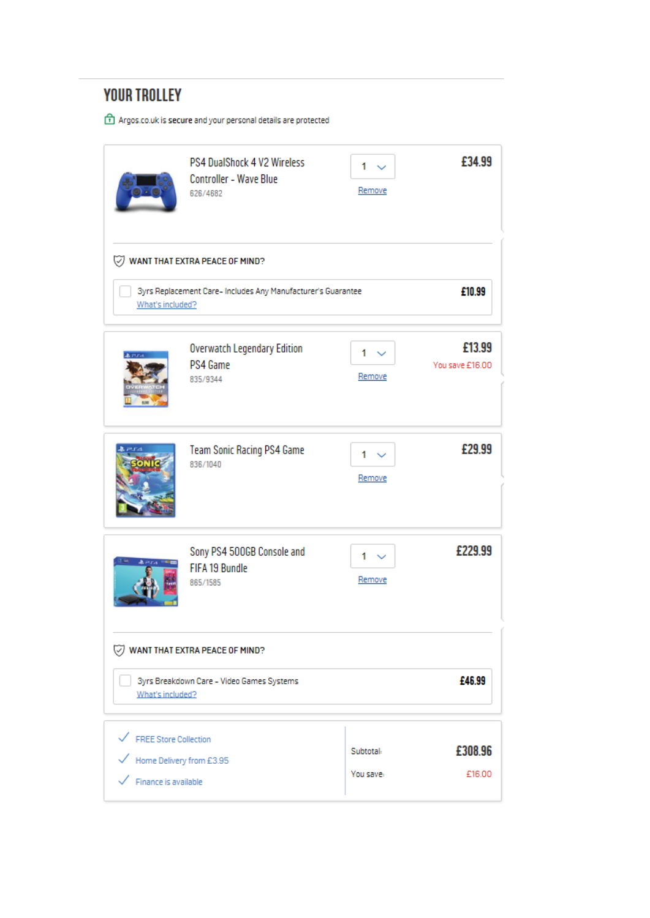# **YOUR TROLLEY**

 $\begin{tabular}{| c | l | l | l |} \hline \textbf{1} \end{tabular} \textbf{A} \textbf{rgos.co.uk} \textbf{is} \textbf{secure} \textbf{and} \textbf{your} \textbf{personal details} \textbf{are protected} \\$ 

|                                                                                                       | PS4 DualShock 4 V2 Wireless<br><b>Controller - Wave Blue</b><br>626/4682 | 1<br>Remove            | £34.99                    |  |
|-------------------------------------------------------------------------------------------------------|--------------------------------------------------------------------------|------------------------|---------------------------|--|
| V)                                                                                                    | WANT THAT EXTRA PEACE OF MIND?                                           |                        |                           |  |
| What's included?                                                                                      | 3yrs Replacement Care- Includes Any Manufacturer's Guarantee             |                        | £10.99                    |  |
|                                                                                                       | <b>Overwatch Legendary Edition</b><br>PS4 Game<br>835/9344               | $1 - \vee$<br>Remove   | £13.99<br>You save £16.00 |  |
|                                                                                                       | <b>Team Sonic Racing PS4 Game</b><br>836/1040                            | 1<br>Remove            | £29.99                    |  |
|                                                                                                       | Sony PS4 500GB Console and<br>FIFA 19 Bundle<br>865/1585                 | 1.<br>Remove           | £229.99                   |  |
| WANT THAT EXTRA PEACE OF MIND?                                                                        |                                                                          |                        |                           |  |
| £46.99<br>3yrs Breakdown Care - Video Games Systems<br>What's included?                               |                                                                          |                        |                           |  |
| ← FREE Store Collection<br>$\checkmark$ Home Delivery from £3.95<br>$\checkmark$ Finance is available |                                                                          | Subtotal:<br>You save: | £308.96<br>£16.00         |  |